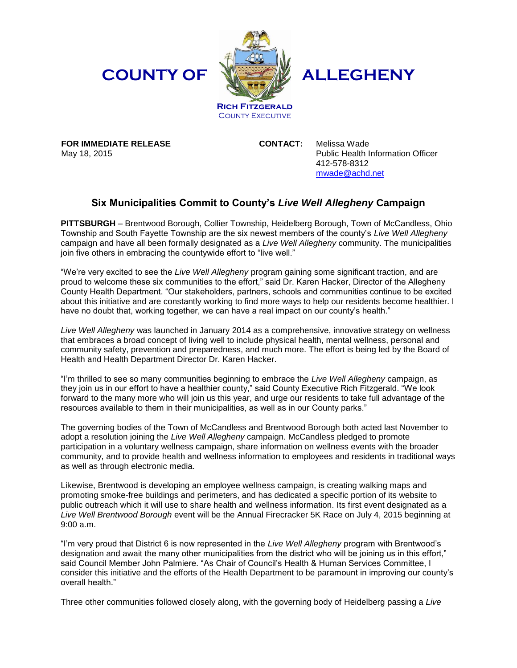## **COUNTY OF**

**FOR IMMEDIATE RELEASE**

May 18, 2015



## **ALLEGHENY**

**COUNTY EXECUTIVE** 

**CONTACT:** Melissa Wade Public Health Information Officer 412-578-8312 [mwade@achd.net](mailto:mwade@achd.net)

## **Six Municipalities Commit to County's** *Live Well Allegheny* **Campaign**

**PITTSBURGH** – Brentwood Borough, Collier Township, Heidelberg Borough, Town of McCandless, Ohio Township and South Fayette Township are the six newest members of the county's *Live Well Allegheny*  campaign and have all been formally designated as a *Live Well Allegheny* community. The municipalities join five others in embracing the countywide effort to "live well."

"We're very excited to see the *Live Well Allegheny* program gaining some significant traction, and are proud to welcome these six communities to the effort," said Dr. Karen Hacker, Director of the Allegheny County Health Department. "Our stakeholders, partners, schools and communities continue to be excited about this initiative and are constantly working to find more ways to help our residents become healthier. I have no doubt that, working together, we can have a real impact on our county's health."

*Live Well Allegheny* was launched in January 2014 as a comprehensive, innovative strategy on wellness that embraces a broad concept of living well to include physical health, mental wellness, personal and community safety, prevention and preparedness, and much more. The effort is being led by the Board of Health and Health Department Director Dr. Karen Hacker.

"I'm thrilled to see so many communities beginning to embrace the *Live Well Allegheny* campaign, as they join us in our effort to have a healthier county," said County Executive Rich Fitzgerald. "We look forward to the many more who will join us this year, and urge our residents to take full advantage of the resources available to them in their municipalities, as well as in our County parks."

The governing bodies of the Town of McCandless and Brentwood Borough both acted last November to adopt a resolution joining the *Live Well Allegheny* campaign. McCandless pledged to promote participation in a voluntary wellness campaign, share information on wellness events with the broader community, and to provide health and wellness information to employees and residents in traditional ways as well as through electronic media.

Likewise, Brentwood is developing an employee wellness campaign, is creating walking maps and promoting smoke-free buildings and perimeters, and has dedicated a specific portion of its website to public outreach which it will use to share health and wellness information. Its first event designated as a *Live Well Brentwood Borough* event will be the Annual Firecracker 5K Race on July 4, 2015 beginning at 9:00 a.m.

"I'm very proud that District 6 is now represented in the *Live Well Allegheny* program with Brentwood's designation and await the many other municipalities from the district who will be joining us in this effort," said Council Member John Palmiere. "As Chair of Council's Health & Human Services Committee, I consider this initiative and the efforts of the Health Department to be paramount in improving our county's overall health."

Three other communities followed closely along, with the governing body of Heidelberg passing a *Live*